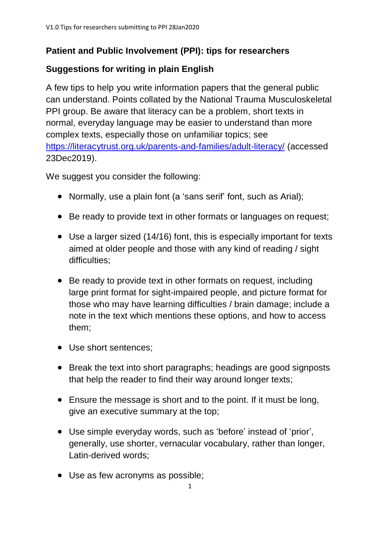## **Patient and Public Involvement (PPI): tips for researchers**

## **Suggestions for writing in plain English**

A few tips to help you write information papers that the general public can understand. Points collated by the National Trauma Musculoskeletal PPI group. Be aware that literacy can be a problem, short texts in normal, everyday language may be easier to understand than more complex texts, especially those on unfamiliar topics; see <https://literacytrust.org.uk/parents-and-families/adult-literacy/> (accessed 23Dec2019).

We suggest you consider the following:

- Normally, use a plain font (a 'sans serif' font, such as Arial);
- Be ready to provide text in other formats or languages on request;
- Use a larger sized (14/16) font, this is especially important for texts aimed at older people and those with any kind of reading / sight difficulties;
- Be ready to provide text in other formats on request, including large print format for sight-impaired people, and picture format for those who may have learning difficulties / brain damage; include a note in the text which mentions these options, and how to access them;
- Use short sentences;
- Break the text into short paragraphs; headings are good signposts that help the reader to find their way around longer texts;
- Ensure the message is short and to the point. If it must be long, give an executive summary at the top;
- Use simple everyday words, such as 'before' instead of 'prior', generally, use shorter, vernacular vocabulary, rather than longer, Latin-derived words;
- Use as few acronyms as possible;